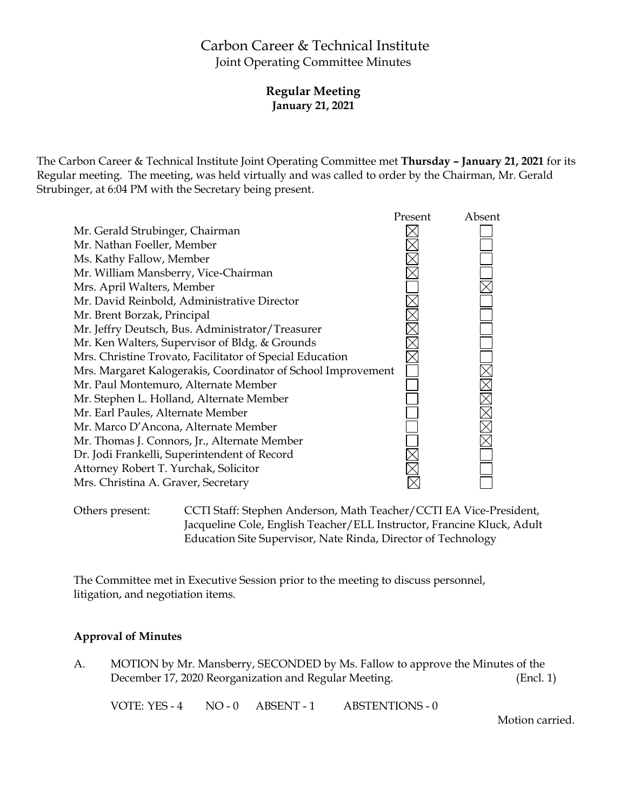# Carbon Career & Technical Institute Joint Operating Committee Minutes

**Regular Meeting January 21, 2021**

The Carbon Career & Technical Institute Joint Operating Committee met **Thursday – January 21, 2021** for its Regular meeting. The meeting, was held virtually and was called to order by the Chairman, Mr. Gerald Strubinger, at 6:04 PM with the Secretary being present.



Others present: CCTI Staff: Stephen Anderson, Math Teacher/CCTI EA Vice-President, Jacqueline Cole, English Teacher/ELL Instructor, Francine Kluck, Adult Education Site Supervisor, Nate Rinda, Director of Technology

The Committee met in Executive Session prior to the meeting to discuss personnel, litigation, and negotiation items.

#### **Approval of Minutes**

A. MOTION by Mr. Mansberry, SECONDED by Ms. Fallow to approve the Minutes of the December 17, 2020 Reorganization and Regular Meeting. (Encl. 1)

VOTE: YES - 4 NO - 0 ABSENT - 1 ABSTENTIONS - 0

Motion carried.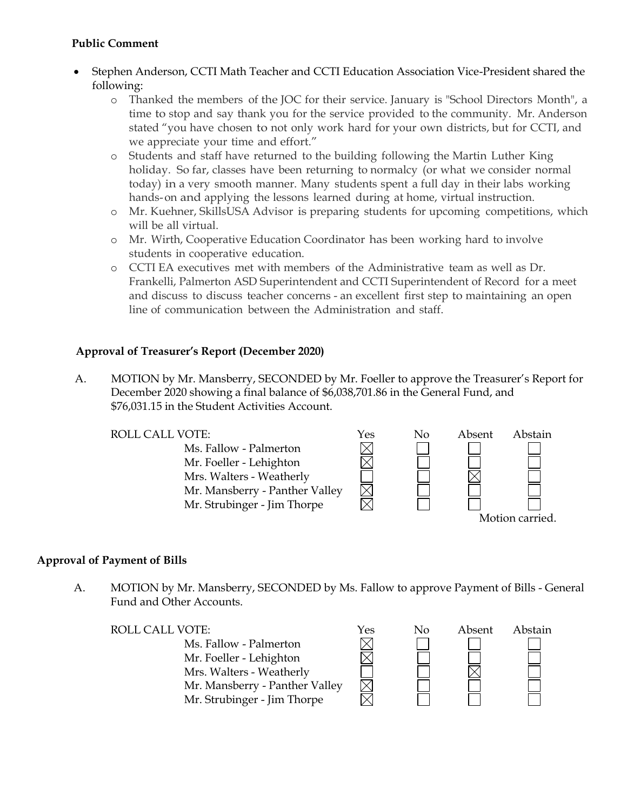#### **Public Comment**

- Stephen Anderson, CCTI Math Teacher and CCTI Education Association Vice-President shared the following:
	- o Thanked the members of the JOC for their service. January is "School Directors Month", a time to stop and say thank you for the service provided to the community. Mr. Anderson stated "you have chosen to not only work hard for your own districts, but for CCTI, and we appreciate your time and effort."
	- o Students and staff have returned to the building following the Martin Luther King holiday. So far, classes have been returning to normalcy (or what we consider normal today) in a very smooth manner. Many students spent a full day in their labs working hands-on and applying the lessons learned during at home, virtual instruction.
	- o Mr. Kuehner, SkillsUSA Advisor is preparing students for upcoming competitions, which will be all virtual.
	- o Mr. Wirth, Cooperative Education Coordinator has been working hard to involve students in cooperative education.
	- o CCTI EA executives met with members of the Administrative team as well as Dr. Frankelli, Palmerton ASD Superintendent and CCTI Superintendent of Record for a meet and discuss to discuss teacher concerns - an excellent first step to maintaining an open line of communication between the Administration and staff.

# **Approval of Treasurer's Report (December 2020)**

A. MOTION by Mr. Mansberry, SECONDED by Mr. Foeller to approve the Treasurer's Report for December 2020 showing a final balance of \$6,038,701.86 in the General Fund, and \$76,031.15 in the Student Activities Account.

Ms. Fallow - Palmerton Mr. Foeller - Lehighton Mrs. Walters - Weatherly Mr. Mansberry - Panther Valley Mr. Strubinger - Jim Thorpe



# **Approval of Payment of Bills**

A. MOTION by Mr. Mansberry, SECONDED by Ms. Fallow to approve Payment of Bills - General Fund and Other Accounts.

# ROLL CALL VOTE:  $\gamma$ es No Absent Abstain Ms. Fallow - Palmerton Mr. Foeller - Lehighton Mrs. Walters - Weatherly Mr. Mansberry - Panther Valley Mr. Strubinger - Jim Thorpe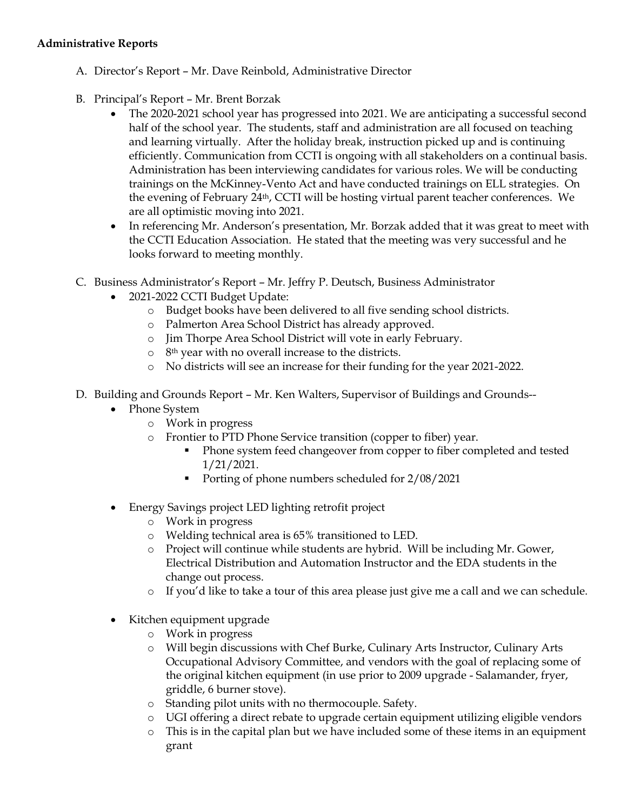#### **Administrative Reports**

- A. Director's Report Mr. Dave Reinbold, Administrative Director
- B. Principal's Report Mr. Brent Borzak
	- The 2020-2021 school year has progressed into 2021. We are anticipating a successful second half of the school year. The students, staff and administration are all focused on teaching and learning virtually. After the holiday break, instruction picked up and is continuing efficiently. Communication from CCTI is ongoing with all stakeholders on a continual basis. Administration has been interviewing candidates for various roles. We will be conducting trainings on the McKinney-Vento Act and have conducted trainings on ELL strategies. On the evening of February 24th, CCTI will be hosting virtual parent teacher conferences. We are all optimistic moving into 2021.
	- In referencing Mr. Anderson's presentation, Mr. Borzak added that it was great to meet with the CCTI Education Association. He stated that the meeting was very successful and he looks forward to meeting monthly.
- C. Business Administrator's Report Mr. Jeffry P. Deutsch, Business Administrator
	- 2021-2022 CCTI Budget Update:
		- o Budget books have been delivered to all five sending school districts.
		- o Palmerton Area School District has already approved.
		- o Jim Thorpe Area School District will vote in early February.
		- o 8th year with no overall increase to the districts.
		- o No districts will see an increase for their funding for the year 2021-2022.
- D. Building and Grounds Report Mr. Ken Walters, Supervisor of Buildings and Grounds--
	- Phone System
		- o Work in progress
		- o Frontier to PTD Phone Service transition (copper to fiber) year.
			- Phone system feed changeover from copper to fiber completed and tested 1/21/2021.
			- Porting of phone numbers scheduled for  $2/08/2021$
	- Energy Savings project LED lighting retrofit project
		- o Work in progress
		- o Welding technical area is 65% transitioned to LED.
		- o Project will continue while students are hybrid. Will be including Mr. Gower, Electrical Distribution and Automation Instructor and the EDA students in the change out process.
		- o If you'd like to take a tour of this area please just give me a call and we can schedule.
	- Kitchen equipment upgrade
		- o Work in progress
		- o Will begin discussions with Chef Burke, Culinary Arts Instructor, Culinary Arts Occupational Advisory Committee, and vendors with the goal of replacing some of the original kitchen equipment (in use prior to 2009 upgrade - Salamander, fryer, griddle, 6 burner stove).
		- o Standing pilot units with no thermocouple. Safety.
		- o UGI offering a direct rebate to upgrade certain equipment utilizing eligible vendors
		- o This is in the capital plan but we have included some of these items in an equipment grant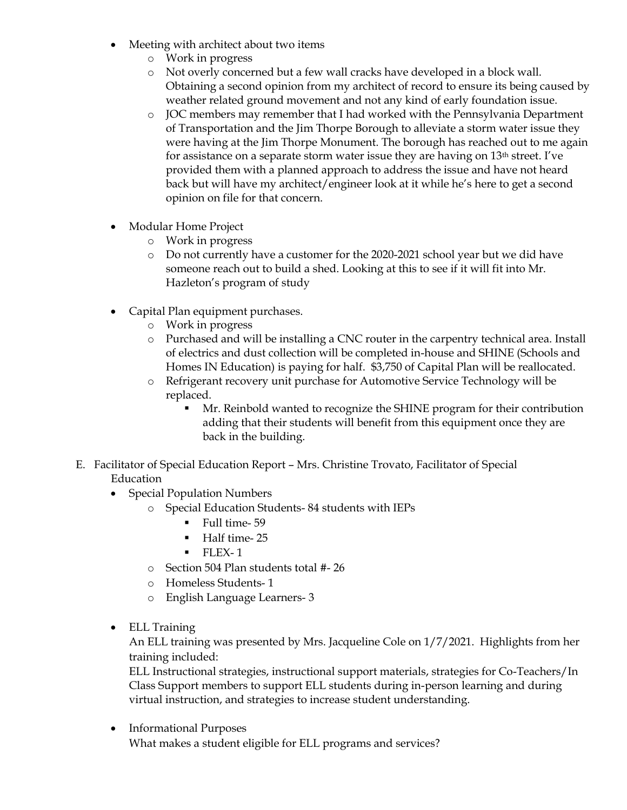- Meeting with architect about two items
	- o Work in progress
	- o Not overly concerned but a few wall cracks have developed in a block wall. Obtaining a second opinion from my architect of record to ensure its being caused by weather related ground movement and not any kind of early foundation issue.
	- o JOC members may remember that I had worked with the Pennsylvania Department of Transportation and the Jim Thorpe Borough to alleviate a storm water issue they were having at the Jim Thorpe Monument. The borough has reached out to me again for assistance on a separate storm water issue they are having on  $13<sup>th</sup>$  street. I've provided them with a planned approach to address the issue and have not heard back but will have my architect/engineer look at it while he's here to get a second opinion on file for that concern.
- Modular Home Project
	- o Work in progress
	- o Do not currently have a customer for the 2020-2021 school year but we did have someone reach out to build a shed. Looking at this to see if it will fit into Mr. Hazleton's program of study
- Capital Plan equipment purchases.
	- o Work in progress
	- o Purchased and will be installing a CNC router in the carpentry technical area. Install of electrics and dust collection will be completed in-house and SHINE (Schools and Homes IN Education) is paying for half. \$3,750 of Capital Plan will be reallocated.
	- o Refrigerant recovery unit purchase for Automotive Service Technology will be replaced.
		- Mr. Reinbold wanted to recognize the SHINE program for their contribution adding that their students will benefit from this equipment once they are back in the building.
- E. Facilitator of Special Education Report Mrs. Christine Trovato, Facilitator of Special Education
	- Special Population Numbers
		- o Special Education Students- 84 students with IEPs
			- Full time- 59
			- **Half time-25**
			- $\blacksquare$  FLEX-1
		- o Section 504 Plan students total #- 26
		- o Homeless Students- 1
		- o English Language Learners- 3
	- ELL Training

An ELL training was presented by Mrs. Jacqueline Cole on 1/7/2021. Highlights from her training included:

ELL Instructional strategies, instructional support materials, strategies for Co-Teachers/In Class Support members to support ELL students during in-person learning and during virtual instruction, and strategies to increase student understanding.

• Informational Purposes What makes a student eligible for ELL programs and services?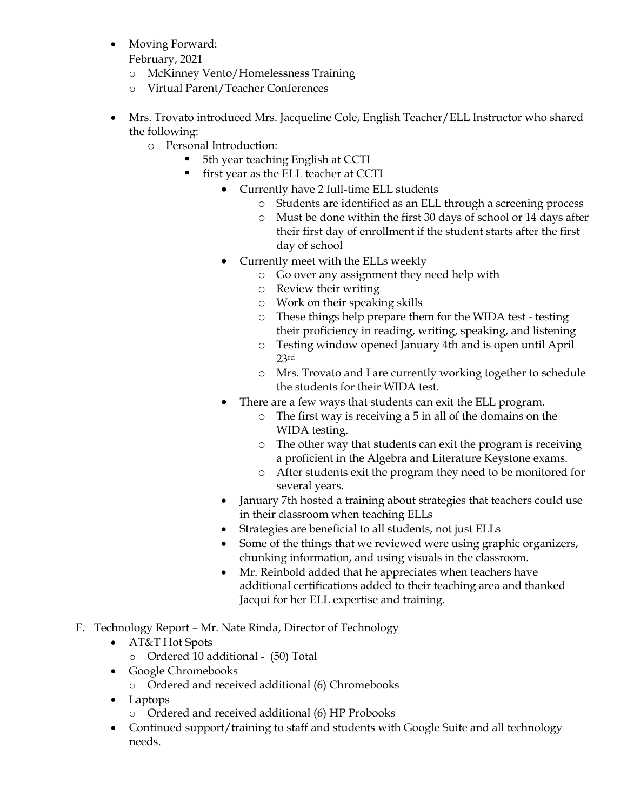Moving Forward:

February, 2021

- o McKinney Vento/Homelessness Training
- o Virtual Parent/Teacher Conferences
- Mrs. Trovato introduced Mrs. Jacqueline Cole, English Teacher/ELL Instructor who shared the following:
	- o Personal Introduction:
		- 5th year teaching English at CCTI
		- **first year as the ELL teacher at CCTI** 
			- Currently have 2 full-time ELL students
				- o Students are identified as an ELL through a screening process
				- o Must be done within the first 30 days of school or 14 days after their first day of enrollment if the student starts after the first day of school
			- Currently meet with the ELLs weekly
				- o Go over any assignment they need help with
				- o Review their writing
				- o Work on their speaking skills
				- o These things help prepare them for the WIDA test testing their proficiency in reading, writing, speaking, and listening
				- o Testing window opened January 4th and is open until April 23rd
				- o Mrs. Trovato and I are currently working together to schedule the students for their WIDA test.
				- There are a few ways that students can exit the ELL program.
					- o The first way is receiving a 5 in all of the domains on the WIDA testing.
					- o The other way that students can exit the program is receiving a proficient in the Algebra and Literature Keystone exams.
					- o After students exit the program they need to be monitored for several years.
			- January 7th hosted a training about strategies that teachers could use in their classroom when teaching ELLs
			- Strategies are beneficial to all students, not just ELLs
			- Some of the things that we reviewed were using graphic organizers, chunking information, and using visuals in the classroom.
			- Mr. Reinbold added that he appreciates when teachers have additional certifications added to their teaching area and thanked Jacqui for her ELL expertise and training.
- F. Technology Report Mr. Nate Rinda, Director of Technology
	- AT&T Hot Spots
		- o Ordered 10 additional (50) Total
	- Google Chromebooks
		- o Ordered and received additional (6) Chromebooks
	- Laptops
		- o Ordered and received additional (6) HP Probooks
	- Continued support/training to staff and students with Google Suite and all technology needs.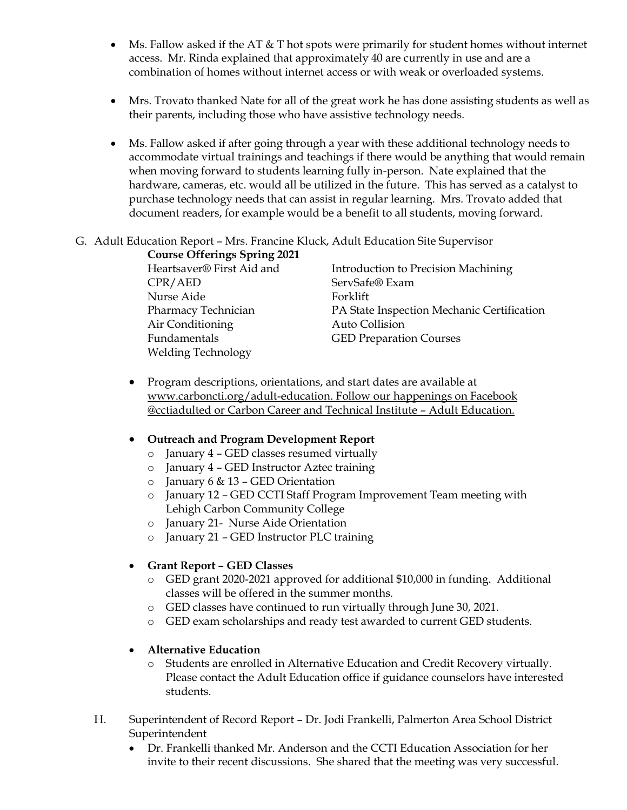- Ms. Fallow asked if the AT  $&$  T hot spots were primarily for student homes without internet access. Mr. Rinda explained that approximately 40 are currently in use and are a combination of homes without internet access or with weak or overloaded systems.
- Mrs. Trovato thanked Nate for all of the great work he has done assisting students as well as their parents, including those who have assistive technology needs.
- Ms. Fallow asked if after going through a year with these additional technology needs to accommodate virtual trainings and teachings if there would be anything that would remain when moving forward to students learning fully in-person. Nate explained that the hardware, cameras, etc. would all be utilized in the future. This has served as a catalyst to purchase technology needs that can assist in regular learning. Mrs. Trovato added that document readers, for example would be a benefit to all students, moving forward.

#### G. Adult Education Report – Mrs. Francine Kluck, Adult Education Site Supervisor

| <b>Course Offerings Spring 2021</b> |                                            |
|-------------------------------------|--------------------------------------------|
| Heartsaver® First Aid and           | Introduction to Precision Machining        |
| CPR/ AED                            | ServSafe® Exam                             |
| Nurse Aide                          | Forklift                                   |
| Pharmacy Technician                 | PA State Inspection Mechanic Certification |
| Air Conditioning                    | Auto Collision                             |
| Fundamentals                        | <b>GED Preparation Courses</b>             |
| <b>Welding Technology</b>           |                                            |
|                                     |                                            |

• Program descriptions, orientations, and start dates are available at [www.carboncti.org/adult-education.](http://www.carboncti.org/adult-education) Follow our happenings on Facebook @cctiadulted or Carbon Career and Technical Institute – Adult Education.

# **Outreach and Program Development Report**

- o January 4 GED classes resumed virtually
- o January 4 GED Instructor Aztec training
- $\circ$  January 6 & 13 GED Orientation
- o January 12 GED CCTI Staff Program Improvement Team meeting with Lehigh Carbon Community College
- o January 21- Nurse Aide Orientation
- o January 21 GED Instructor PLC training

# **Grant Report – GED Classes**

- o GED grant 2020-2021 approved for additional \$10,000 in funding. Additional classes will be offered in the summer months.
- o GED classes have continued to run virtually through June 30, 2021.
- o GED exam scholarships and ready test awarded to current GED students.

# **Alternative Education**

- o Students are enrolled in Alternative Education and Credit Recovery virtually. Please contact the Adult Education office if guidance counselors have interested students.
- H. Superintendent of Record Report Dr. Jodi Frankelli, Palmerton Area School District Superintendent
	- Dr. Frankelli thanked Mr. Anderson and the CCTI Education Association for her invite to their recent discussions. She shared that the meeting was very successful.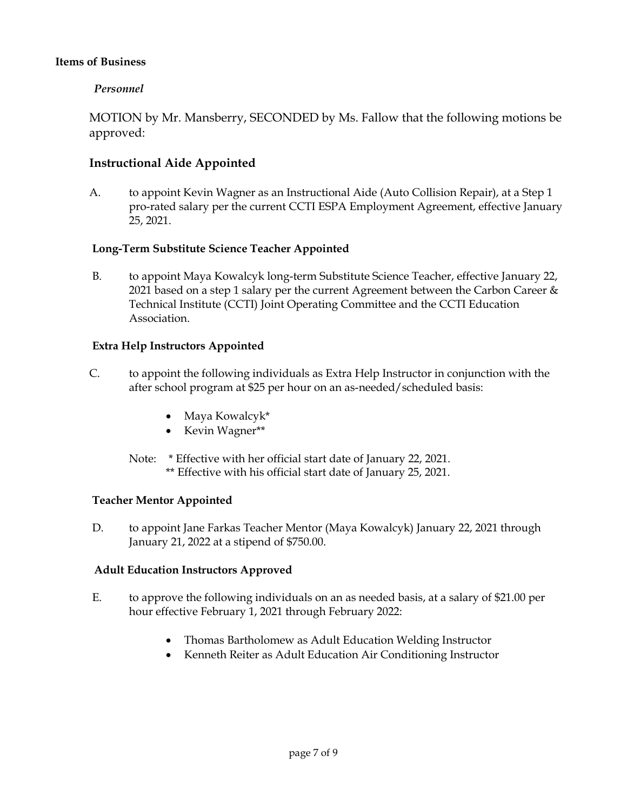### **Items of Business**

### *Personnel*

MOTION by Mr. Mansberry, SECONDED by Ms. Fallow that the following motions be approved:

# **Instructional Aide Appointed**

A. to appoint Kevin Wagner as an Instructional Aide (Auto Collision Repair), at a Step 1 pro-rated salary per the current CCTI ESPA Employment Agreement, effective January 25, 2021.

### **Long-Term Substitute Science Teacher Appointed**

B. to appoint Maya Kowalcyk long-term Substitute Science Teacher, effective January 22, 2021 based on a step 1 salary per the current Agreement between the Carbon Career & Technical Institute (CCTI) Joint Operating Committee and the CCTI Education Association.

### **Extra Help Instructors Appointed**

- C. to appoint the following individuals as Extra Help Instructor in conjunction with the after school program at \$25 per hour on an as-needed/scheduled basis:
	- Maya Kowalcyk\*
	- Kevin Wagner\*\*
	- Note: \* Effective with her official start date of January 22, 2021. \*\* Effective with his official start date of January 25, 2021.

#### **Teacher Mentor Appointed**

D. to appoint Jane Farkas Teacher Mentor (Maya Kowalcyk) January 22, 2021 through January 21, 2022 at a stipend of \$750.00.

#### **Adult Education Instructors Approved**

- E. to approve the following individuals on an as needed basis, at a salary of \$21.00 per hour effective February 1, 2021 through February 2022:
	- Thomas Bartholomew as Adult Education Welding Instructor
	- Kenneth Reiter as Adult Education Air Conditioning Instructor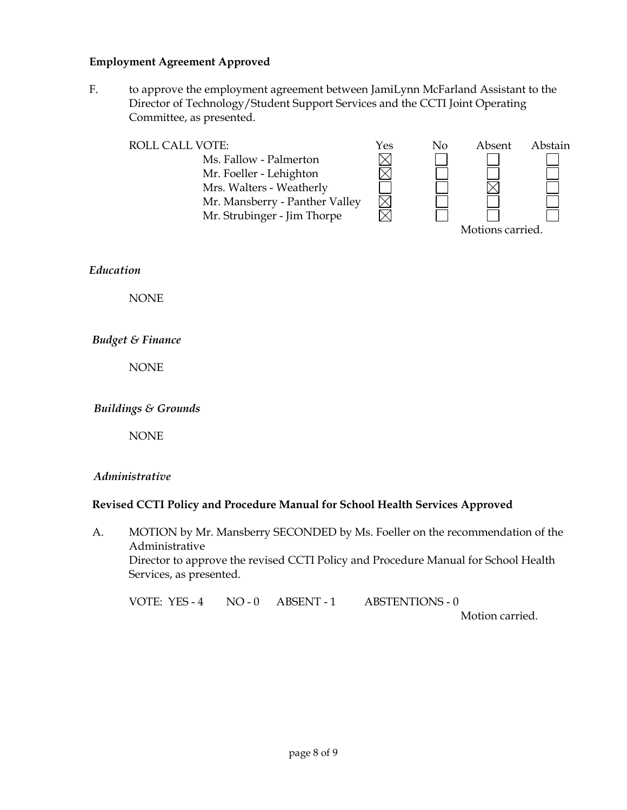#### **Employment Agreement Approved**

F. to approve the employment agreement between JamiLynn McFarland Assistant to the Director of Technology/Student Support Services and the CCTI Joint Operating Committee, as presented.

| <b>ROLL CALL VOTE:</b>         | Yes | No | Absent | Abstain |
|--------------------------------|-----|----|--------|---------|
| Ms. Fallow - Palmerton         |     |    |        |         |
| Mr. Foeller - Lehighton        |     |    |        |         |
| Mrs. Walters - Weatherly       |     |    |        |         |
| Mr. Mansberry - Panther Valley |     |    |        |         |
| Mr. Strubinger - Jim Thorpe    |     |    |        |         |
| Motions carried.               |     |    |        |         |

*Education*

NONE

#### *Budget & Finance*

NONE

#### *Buildings & Grounds*

NONE

#### *Administrative*

#### **Revised CCTI Policy and Procedure Manual for School Health Services Approved**

A. MOTION by Mr. Mansberry SECONDED by Ms. Foeller on the recommendation of the Administrative Director to approve the revised CCTI Policy and Procedure Manual for School Health Services, as presented.

VOTE: YES - 4 NO - 0 ABSENT - 1 ABSTENTIONS - 0

Motion carried.